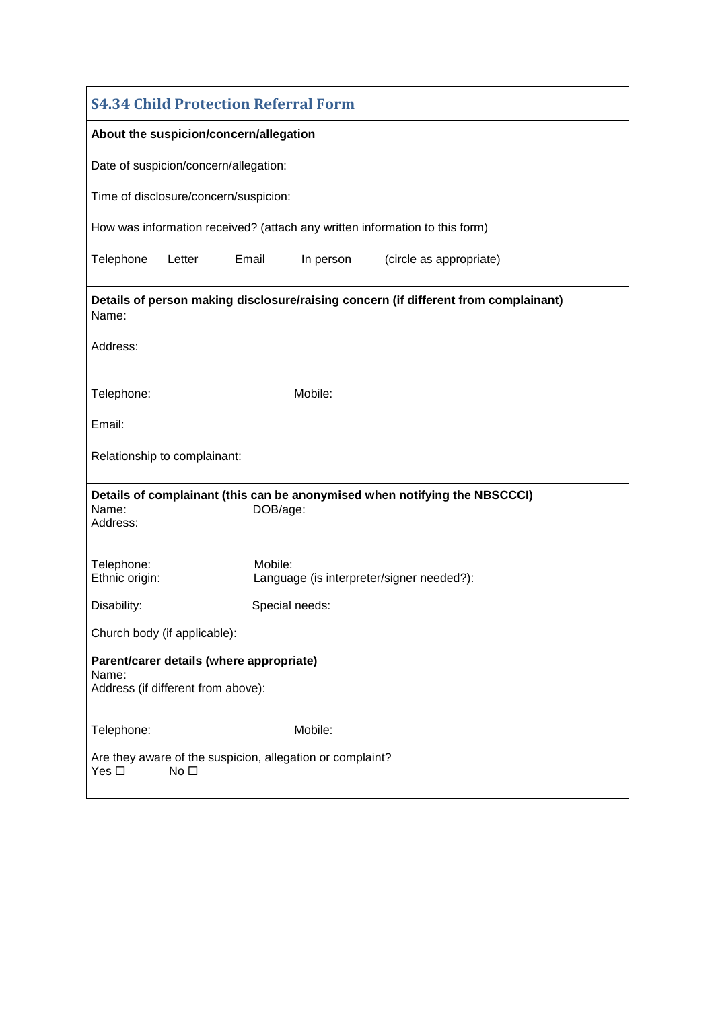| <b>S4.34 Child Protection Referral Form</b>                                                   |                                                      |                                                                            |  |  |
|-----------------------------------------------------------------------------------------------|------------------------------------------------------|----------------------------------------------------------------------------|--|--|
| About the suspicion/concern/allegation                                                        |                                                      |                                                                            |  |  |
| Date of suspicion/concern/allegation:                                                         |                                                      |                                                                            |  |  |
| Time of disclosure/concern/suspicion:                                                         |                                                      |                                                                            |  |  |
| How was information received? (attach any written information to this form)                   |                                                      |                                                                            |  |  |
| Telephone<br>Letter                                                                           | Email<br>In person                                   | (circle as appropriate)                                                    |  |  |
| Details of person making disclosure/raising concern (if different from complainant)<br>Name:  |                                                      |                                                                            |  |  |
| Address:                                                                                      |                                                      |                                                                            |  |  |
| Telephone:                                                                                    | Mobile:                                              |                                                                            |  |  |
| Email:                                                                                        |                                                      |                                                                            |  |  |
| Relationship to complainant:                                                                  |                                                      |                                                                            |  |  |
| Name:<br>Address:                                                                             | DOB/age:                                             | Details of complainant (this can be anonymised when notifying the NBSCCCI) |  |  |
| Telephone:<br>Ethnic origin:                                                                  | Mobile:<br>Language (is interpreter/signer needed?): |                                                                            |  |  |
| Disability:                                                                                   | Special needs:                                       |                                                                            |  |  |
| Church body (if applicable):                                                                  |                                                      |                                                                            |  |  |
| Parent/carer details (where appropriate)<br>Name:<br>Address (if different from above):       |                                                      |                                                                            |  |  |
| Telephone:                                                                                    | Mobile:                                              |                                                                            |  |  |
| Are they aware of the suspicion, allegation or complaint?<br>Yes $\square$<br>No <sub>1</sub> |                                                      |                                                                            |  |  |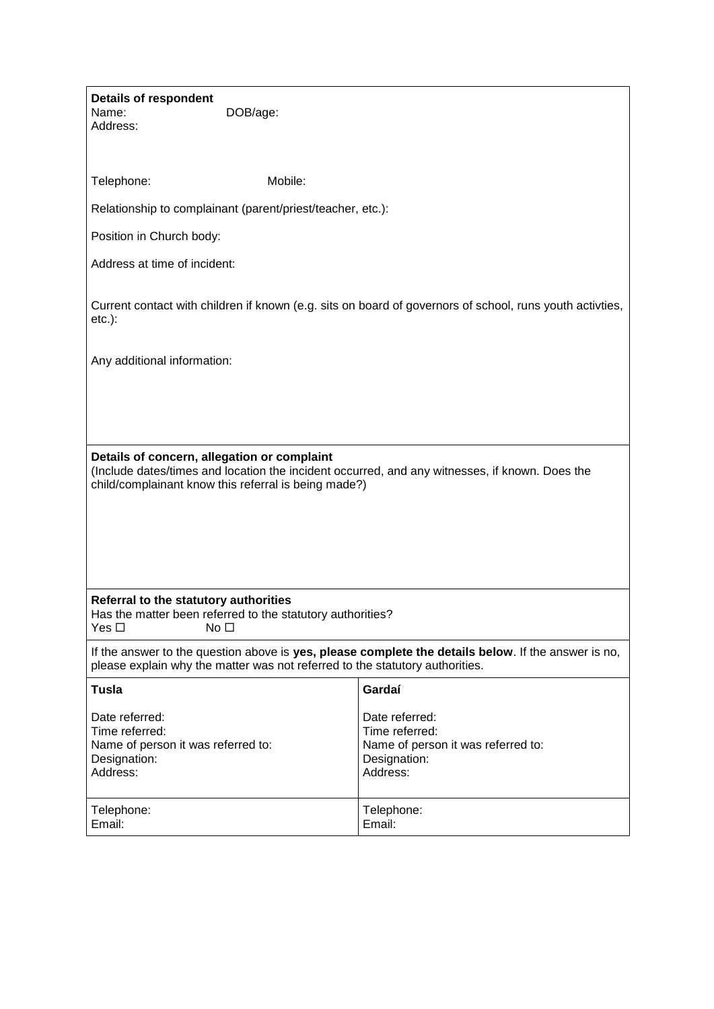| <b>Details of respondent</b><br>Name:<br>Address:                                                                                                                                                     | DOB/age: |                                                                                                    |  |  |
|-------------------------------------------------------------------------------------------------------------------------------------------------------------------------------------------------------|----------|----------------------------------------------------------------------------------------------------|--|--|
| Telephone:                                                                                                                                                                                            | Mobile:  |                                                                                                    |  |  |
| Relationship to complainant (parent/priest/teacher, etc.):                                                                                                                                            |          |                                                                                                    |  |  |
| Position in Church body:                                                                                                                                                                              |          |                                                                                                    |  |  |
| Address at time of incident:                                                                                                                                                                          |          |                                                                                                    |  |  |
| Current contact with children if known (e.g. sits on board of governors of school, runs youth activties,<br>$etc.$ ):                                                                                 |          |                                                                                                    |  |  |
| Any additional information:                                                                                                                                                                           |          |                                                                                                    |  |  |
|                                                                                                                                                                                                       |          |                                                                                                    |  |  |
|                                                                                                                                                                                                       |          |                                                                                                    |  |  |
| Details of concern, allegation or complaint<br>(Include dates/times and location the incident occurred, and any witnesses, if known. Does the<br>child/complainant know this referral is being made?) |          |                                                                                                    |  |  |
| Referral to the statutory authorities<br>Has the matter been referred to the statutory authorities?<br>Yes $\square$<br>No $\square$                                                                  |          |                                                                                                    |  |  |
| If the answer to the question above is yes, please complete the details below. If the answer is no,<br>please explain why the matter was not referred to the statutory authorities.                   |          |                                                                                                    |  |  |
| <b>Tusla</b>                                                                                                                                                                                          |          | Gardaí                                                                                             |  |  |
| Date referred:<br>Time referred:<br>Name of person it was referred to:<br>Designation:<br>Address:                                                                                                    |          | Date referred:<br>Time referred:<br>Name of person it was referred to:<br>Designation:<br>Address: |  |  |
| Telephone:<br>Email:                                                                                                                                                                                  |          | Telephone:<br>Email:                                                                               |  |  |